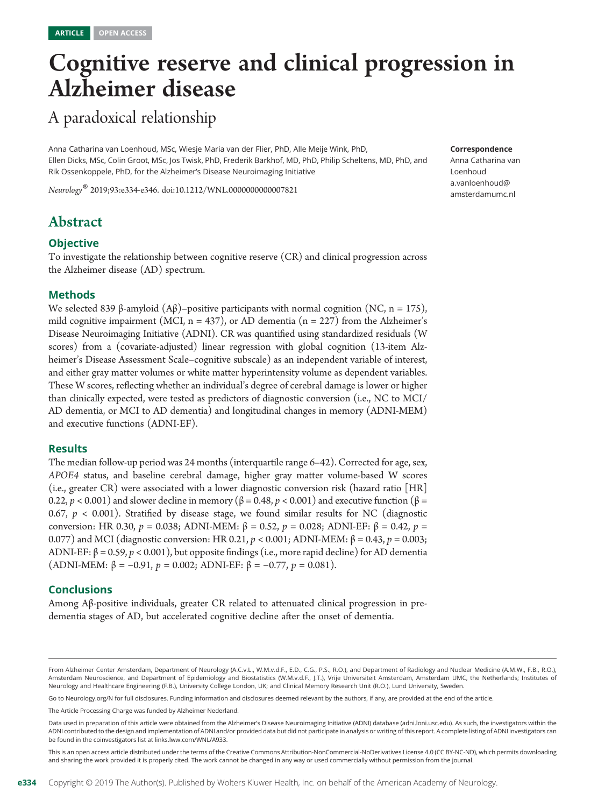## Cognitive reserve and clinical progression in Alzheimer disease

## A paradoxical relationship

Anna Catharina van Loenhoud, MSc, Wiesje Maria van der Flier, PhD, Alle Meije Wink, PhD, Ellen Dicks, MSc, Colin Groot, MSc, Jos Twisk, PhD, Frederik Barkhof, MD, PhD, Philip Scheltens, MD, PhD, and Rik Ossenkoppele, PhD, for the Alzheimer's Disease Neuroimaging Initiative

Neurology® 2019;93:e334-e346. doi[:10.1212/WNL.0000000000007821](http://dx.doi.org/10.1212/WNL.0000000000007821)

## Abstract

#### **Objective**

To investigate the relationship between cognitive reserve (CR) and clinical progression across the Alzheimer disease (AD) spectrum.

#### Methods

We selected 839 β-amyloid (Aβ)–positive participants with normal cognition (NC, n = 175), mild cognitive impairment (MCI,  $n = 437$ ), or AD dementia ( $n = 227$ ) from the Alzheimer's Disease Neuroimaging Initiative (ADNI). CR was quantified using standardized residuals (W scores) from a (covariate-adjusted) linear regression with global cognition (13-item Alzheimer's Disease Assessment Scale–cognitive subscale) as an independent variable of interest, and either gray matter volumes or white matter hyperintensity volume as dependent variables. These W scores, reflecting whether an individual's degree of cerebral damage is lower or higher than clinically expected, were tested as predictors of diagnostic conversion (i.e., NC to MCI/ AD dementia, or MCI to AD dementia) and longitudinal changes in memory (ADNI-MEM) and executive functions (ADNI-EF).

#### Results

The median follow-up period was 24 months (interquartile range 6–42). Corrected for age, sex, APOE4 status, and baseline cerebral damage, higher gray matter volume-based W scores (i.e., greater CR) were associated with a lower diagnostic conversion risk (hazard ratio [HR] 0.22,  $p < 0.001$ ) and slower decline in memory (β = 0.48,  $p < 0.001$ ) and executive function (β = 0.67,  $p < 0.001$ ). Stratified by disease stage, we found similar results for NC (diagnostic conversion: HR 0.30,  $p = 0.038$ ; ADNI-MEM: β = 0.52,  $p = 0.028$ ; ADNI-EF: β = 0.42,  $p =$ 0.077) and MCI (diagnostic conversion: HR 0.21,  $p < 0.001$ ; ADNI-MEM: β = 0.43,  $p = 0.003$ ; ADNI-EF:  $\beta = 0.59$ ,  $p < 0.001$ ), but opposite findings (i.e., more rapid decline) for AD dementia (ADNI-MEM:  $\beta = -0.91$ ,  $p = 0.002$ ; ADNI-EF:  $\beta = -0.77$ ,  $p = 0.081$ ).

#### **Conclusions**

Among Aβ-positive individuals, greater CR related to attenuated clinical progression in predementia stages of AD, but accelerated cognitive decline after the onset of dementia.

#### Correspondence

Anna Catharina van Loenhoud [a.vanloenhoud@](mailto:a.vanloenhoud@amsterdamumc.nl) [amsterdamumc.nl](mailto:a.vanloenhoud@amsterdamumc.nl)

From Alzheimer Center Amsterdam, Department of Neurology (A.C.v.L., W.M.v.d.F., E.D., C.G., P.S., R.O.), and Department of Radiology and Nuclear Medicine (A.M.W., F.B., R.O.), Amsterdam Neuroscience, and Department of Epidemiology and Biostatistics (W.M.v.d.F., J.T.), Vrije Universiteit Amsterdam, Amsterdam UMC, the Netherlands; Institutes of Neurology and Healthcare Engineering (F.B.), University College London, UK; and Clinical Memory Research Unit (R.O.), Lund University, Sweden.

Go to [Neurology.org/N](https://n.neurology.org/lookup/doi/10.1212/WNL.0000000000007821) for full disclosures. Funding information and disclosures deemed relevant by the authors, if any, are provided at the end of the article.

The Article Processing Charge was funded by Alzheimer Nederland.

Data used in preparation of this article were obtained from the Alzheimer's Disease Neuroimaging Initiative (ADNI) database [\(adni.loni.usc.edu\)](http://adni.loni.usc.edu). As such, the investigators within the ADNI contributed to the design and implementation of ADNI and/or provided data but did not participate in analysis or writing of this report. A complete listing of ADNI investigators can be found in the coinvestigators list at [links.lww.com/WNL/A933.](http://links.lww.com/WNL/A933)

This is an open access article distributed under the terms of the [Creative Commons Attribution-NonCommercial-NoDerivatives License 4.0 \(CC BY-NC-ND\)](http://creativecommons.org/licenses/by-nc-nd/4.0/), which permits downloading and sharing the work provided it is properly cited. The work cannot be changed in any way or used commercially without permission from the journal.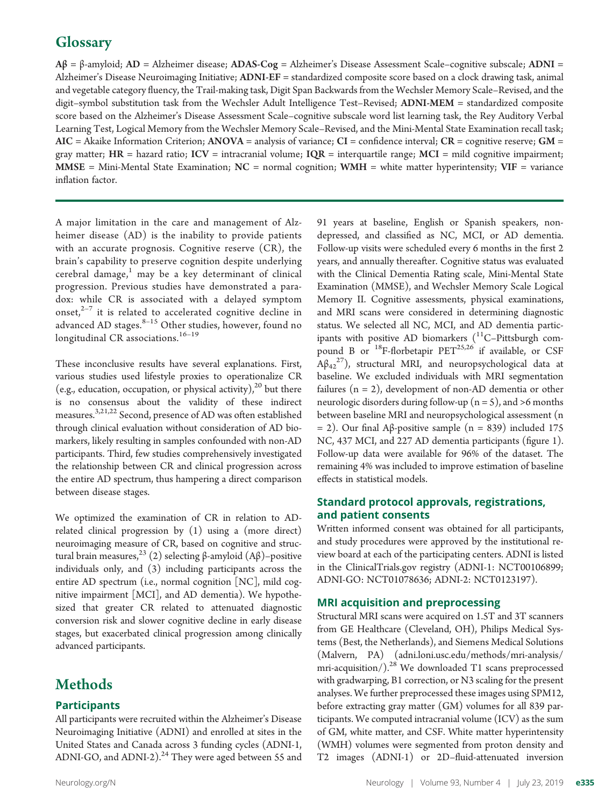## **Glossary**

 $A\beta = \beta$ -amyloid; AD = Alzheimer disease; ADAS-Cog = Alzheimer's Disease Assessment Scale–cognitive subscale; ADNI = Alzheimer's Disease Neuroimaging Initiative; ADNI-EF = standardized composite score based on a clock drawing task, animal and vegetable category fluency, the Trail-making task, Digit Span Backwards from the Wechsler Memory Scale–Revised, and the digit–symbol substitution task from the Wechsler Adult Intelligence Test–Revised; ADNI-MEM = standardized composite score based on the Alzheimer's Disease Assessment Scale–cognitive subscale word list learning task, the Rey Auditory Verbal Learning Test, Logical Memory from the Wechsler Memory Scale–Revised, and the Mini-Mental State Examination recall task;  $AIC = Akaike Information Criterion; ANOVA = analysis of variance; CI = confidence interval; CR = cognitive reserve; GM = 1000; and CM = 1000; and CM = 1000; and CM = 1000; and CM = 1000; and CM = 1000; and CM = 1000; and CM = 1000; and CM = 1000; and CM = 1000; and CM = 1000; and CM = 1000; and CM = 1000; and CM = 1000; and CM = 1000; and CM = 1000; and CM = 1000; and CM = 1000; and CM = 1000; and CM = 1000; and CM = 1000; and CM = 1$ gray matter;  $HR =$  hazard ratio;  $ICV =$  intracranial volume;  $IQR =$  interquartile range;  $MCI =$  mild cognitive impairment; MMSE = Mini-Mental State Examination;  $NC =$  normal cognition;  $WMH =$  white matter hyperintensity;  $VIF =$  variance inflation factor.

A major limitation in the care and management of Alzheimer disease (AD) is the inability to provide patients with an accurate prognosis. Cognitive reserve (CR), the brain's capability to preserve cognition despite underlying cerebral damage, $1$  may be a key determinant of clinical progression. Previous studies have demonstrated a paradox: while CR is associated with a delayed symptom onset, $2-7$  it is related to accelerated cognitive decline in advanced AD stages.<sup>8-15</sup> Other studies, however, found no longitudinal CR associations.<sup>16-19</sup>

These inconclusive results have several explanations. First, various studies used lifestyle proxies to operationalize CR (e.g., education, occupation, or physical activity),<sup>20</sup> but there is no consensus about the validity of these indirect measures.3,21,22 Second, presence of AD was often established through clinical evaluation without consideration of AD biomarkers, likely resulting in samples confounded with non-AD participants. Third, few studies comprehensively investigated the relationship between CR and clinical progression across the entire AD spectrum, thus hampering a direct comparison between disease stages.

We optimized the examination of CR in relation to ADrelated clinical progression by (1) using a (more direct) neuroimaging measure of CR, based on cognitive and structural brain measures,<sup>23</sup> (2) selecting β-amyloid (Aβ)–positive individuals only, and (3) including participants across the entire AD spectrum (i.e., normal cognition [NC], mild cognitive impairment [MCI], and AD dementia). We hypothesized that greater CR related to attenuated diagnostic conversion risk and slower cognitive decline in early disease stages, but exacerbated clinical progression among clinically advanced participants.

## Methods

#### **Participants**

All participants were recruited within the Alzheimer's Disease Neuroimaging Initiative (ADNI) and enrolled at sites in the United States and Canada across 3 funding cycles (ADNI-1, ADNI-GO, and ADNI-2).<sup>24</sup> They were aged between 55 and

91 years at baseline, English or Spanish speakers, nondepressed, and classified as NC, MCI, or AD dementia. Follow-up visits were scheduled every 6 months in the first 2 years, and annually thereafter. Cognitive status was evaluated with the Clinical Dementia Rating scale, Mini-Mental State Examination (MMSE), and Wechsler Memory Scale Logical Memory II. Cognitive assessments, physical examinations, and MRI scans were considered in determining diagnostic status. We selected all NC, MCI, and AD dementia participants with positive AD biomarkers  $(^{11}C-Pittsburgh$  compound B or  $^{18}$ F-florbetapir PET<sup>25,26</sup> if available, or CSF  $A\beta_{42}^{27}$ ), structural MRI, and neuropsychological data at baseline. We excluded individuals with MRI segmentation failures (n = 2), development of non-AD dementia or other neurologic disorders during follow-up ( $n = 5$ ), and >6 months between baseline MRI and neuropsychological assessment (n  $= 2$ ). Our final Aβ-positive sample (n = 839) included 175 NC, 437 MCI, and 227 AD dementia participants (figure 1). Follow-up data were available for 96% of the dataset. The remaining 4% was included to improve estimation of baseline effects in statistical models.

#### Standard protocol approvals, registrations, and patient consents

Written informed consent was obtained for all participants, and study procedures were approved by the institutional review board at each of the participating centers. ADNI is listed in the [ClinicalTrials.gov](http://ClinicalTrials.gov) registry (ADNI-1: NCT00106899; ADNI-GO: NCT01078636; ADNI-2: NCT0123197).

#### MRI acquisition and preprocessing

Structural MRI scans were acquired on 1.5T and 3T scanners from GE Healthcare (Cleveland, OH), Philips Medical Systems (Best, the Netherlands), and Siemens Medical Solutions (Malvern, PA) ([adni.loni.usc.edu/methods/mri-analysis/](http://adni.loni.usc.edu/methods/mri-analysis/mri-acquisition/) mri-acquisition/ $)^{28}$  We downloaded T1 scans preprocessed with gradwarping, B1 correction, or N3 scaling for the present analyses. We further preprocessed these images using SPM12, before extracting gray matter (GM) volumes for all 839 participants. We computed intracranial volume (ICV) as the sum of GM, white matter, and CSF. White matter hyperintensity (WMH) volumes were segmented from proton density and T2 images (ADNI-1) or 2D–fluid-attenuated inversion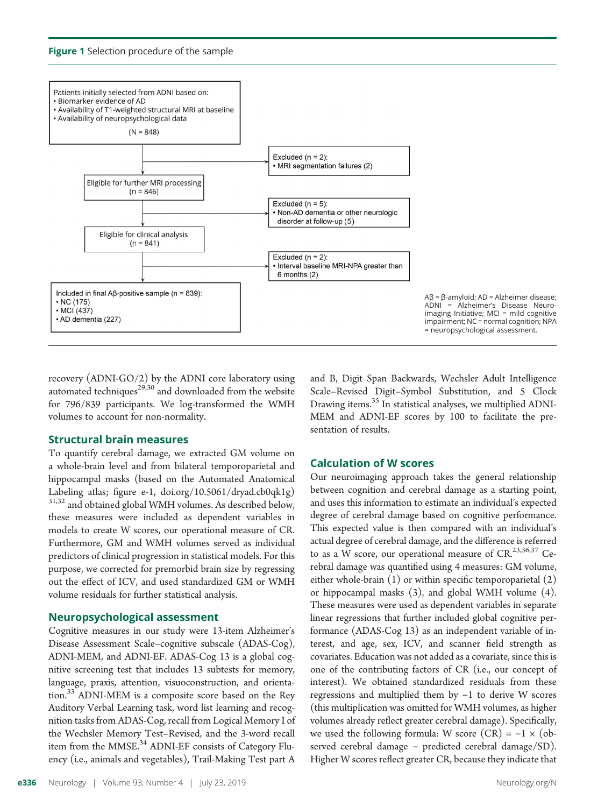



Aβ = β-amyloid; AD = Alzheimer disease; ADNI = Alzheimer's Disease Neuroimaging Initiative; MCI = mild cognitive impairment; NC = normal cognition; NPA = neuropsychological assessment.

recovery (ADNI-GO/2) by the ADNI core laboratory using automated techniques<sup>29,30</sup> and downloaded from the website for 796/839 participants. We log-transformed the WMH volumes to account for non-normality.

#### Structural brain measures

To quantify cerebral damage, we extracted GM volume on a whole-brain level and from bilateral temporoparietal and hippocampal masks (based on the Automated Anatomical Labeling atlas; figure e-1, [doi.org/10.5061/dryad.cb0qk1g\)](https://doi.org/10.5061/dryad.cb0qk1g) 31,32 and obtained global WMH volumes. As described below, these measures were included as dependent variables in models to create W scores, our operational measure of CR. Furthermore, GM and WMH volumes served as individual predictors of clinical progression in statistical models. For this purpose, we corrected for premorbid brain size by regressing out the effect of ICV, and used standardized GM or WMH volume residuals for further statistical analysis.

#### Neuropsychological assessment

Cognitive measures in our study were 13-item Alzheimer's Disease Assessment Scale–cognitive subscale (ADAS-Cog), ADNI-MEM, and ADNI-EF. ADAS-Cog 13 is a global cognitive screening test that includes 13 subtests for memory, language, praxis, attention, visuoconstruction, and orientation.<sup>33</sup> ADNI-MEM is a composite score based on the Rey Auditory Verbal Learning task, word list learning and recognition tasks from ADAS-Cog, recall from Logical Memory I of the Wechsler Memory Test–Revised, and the 3-word recall item from the MMSE.<sup>34</sup> ADNI-EF consists of Category Fluency (i.e., animals and vegetables), Trail-Making Test part A

and B, Digit Span Backwards, Wechsler Adult Intelligence Scale–Revised Digit–Symbol Substitution, and 5 Clock Drawing items.<sup>35</sup> In statistical analyses, we multiplied ADNI-MEM and ADNI-EF scores by 100 to facilitate the presentation of results.

#### Calculation of W scores

Our neuroimaging approach takes the general relationship between cognition and cerebral damage as a starting point, and uses this information to estimate an individual's expected degree of cerebral damage based on cognitive performance. This expected value is then compared with an individual's actual degree of cerebral damage, and the difference is referred to as a W score, our operational measure of  $CR^{23,36,37}$  Cerebral damage was quantified using 4 measures: GM volume, either whole-brain (1) or within specific temporoparietal (2) or hippocampal masks (3), and global WMH volume (4). These measures were used as dependent variables in separate linear regressions that further included global cognitive performance (ADAS-Cog 13) as an independent variable of interest, and age, sex, ICV, and scanner field strength as covariates. Education was not added as a covariate, since this is one of the contributing factors of CR (i.e., our concept of interest). We obtained standardized residuals from these regressions and multiplied them by −1 to derive W scores (this multiplication was omitted for WMH volumes, as higher volumes already reflect greater cerebral damage). Specifically, we used the following formula: W score  $(CR) = -1 \times (ob-1)$ served cerebral damage − predicted cerebral damage/SD). Higher W scores reflect greater CR, because they indicate that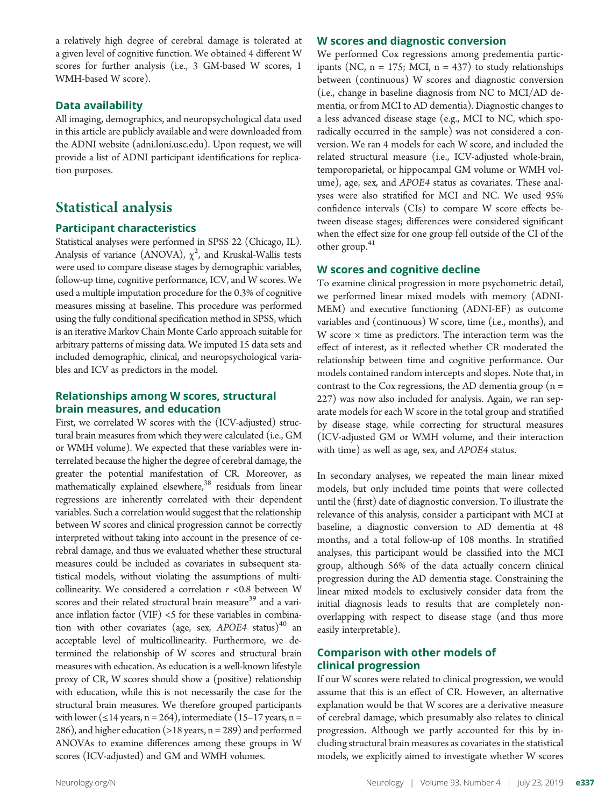a relatively high degree of cerebral damage is tolerated at a given level of cognitive function. We obtained 4 different W scores for further analysis (i.e., 3 GM-based W scores, 1 WMH-based W score).

#### Data availability

All imaging, demographics, and neuropsychological data used in this article are publicly available and were downloaded from the ADNI website [\(adni.loni.usc.edu\)](http://adni.loni.usc.edu). Upon request, we will provide a list of ADNI participant identifications for replication purposes.

## Statistical analysis

#### Participant characteristics

Statistical analyses were performed in SPSS 22 (Chicago, IL). Analysis of variance (ANOVA),  $\chi^2$ , and Kruskal-Wallis tests were used to compare disease stages by demographic variables, follow-up time, cognitive performance, ICV, and W scores. We used a multiple imputation procedure for the 0.3% of cognitive measures missing at baseline. This procedure was performed using the fully conditional specification method in SPSS, which is an iterative Markov Chain Monte Carlo approach suitable for arbitrary patterns of missing data. We imputed 15 data sets and included demographic, clinical, and neuropsychological variables and ICV as predictors in the model.

#### Relationships among W scores, structural brain measures, and education

First, we correlated W scores with the (ICV-adjusted) structural brain measures from which they were calculated (i.e., GM or WMH volume). We expected that these variables were interrelated because the higher the degree of cerebral damage, the greater the potential manifestation of CR. Moreover, as mathematically explained elsewhere,<sup>38</sup> residuals from linear regressions are inherently correlated with their dependent variables. Such a correlation would suggest that the relationship between W scores and clinical progression cannot be correctly interpreted without taking into account in the presence of cerebral damage, and thus we evaluated whether these structural measures could be included as covariates in subsequent statistical models, without violating the assumptions of multicollinearity. We considered a correlation  $r < 0.8$  between W scores and their related structural brain measure<sup>39</sup> and a variance inflation factor  $(VIF) < 5$  for these variables in combination with other covariates (age, sex, APOE4 status)<sup>40</sup> an acceptable level of multicollinearity. Furthermore, we determined the relationship of W scores and structural brain measures with education. As education is a well-known lifestyle proxy of CR, W scores should show a (positive) relationship with education, while this is not necessarily the case for the structural brain measures. We therefore grouped participants with lower ( $\leq$ 14 years, n = 264), intermediate (15–17 years, n = 286), and higher education (>18 years, n = 289) and performed ANOVAs to examine differences among these groups in W scores (ICV-adjusted) and GM and WMH volumes.

We performed Cox regressions among predementia participants (NC,  $n = 175$ ; MCI,  $n = 437$ ) to study relationships between (continuous) W scores and diagnostic conversion (i.e., change in baseline diagnosis from NC to MCI/AD dementia, or from MCI to AD dementia). Diagnostic changes to a less advanced disease stage (e.g., MCI to NC, which sporadically occurred in the sample) was not considered a conversion. We ran 4 models for each W score, and included the related structural measure (i.e., ICV-adjusted whole-brain, temporoparietal, or hippocampal GM volume or WMH volume), age, sex, and APOE4 status as covariates. These analyses were also stratified for MCI and NC. We used 95% confidence intervals (CIs) to compare W score effects between disease stages; differences were considered significant when the effect size for one group fell outside of the CI of the other group.<sup>41</sup>

#### W scores and cognitive decline

To examine clinical progression in more psychometric detail, we performed linear mixed models with memory (ADNI-MEM) and executive functioning (ADNI-EF) as outcome variables and (continuous) W score, time (i.e., months), and W score  $\times$  time as predictors. The interaction term was the effect of interest, as it reflected whether CR moderated the relationship between time and cognitive performance. Our models contained random intercepts and slopes. Note that, in contrast to the Cox regressions, the AD dementia group  $(n =$ 227) was now also included for analysis. Again, we ran separate models for each W score in the total group and stratified by disease stage, while correcting for structural measures (ICV-adjusted GM or WMH volume, and their interaction with time) as well as age, sex, and APOE4 status.

In secondary analyses, we repeated the main linear mixed models, but only included time points that were collected until the (first) date of diagnostic conversion. To illustrate the relevance of this analysis, consider a participant with MCI at baseline, a diagnostic conversion to AD dementia at 48 months, and a total follow-up of 108 months. In stratified analyses, this participant would be classified into the MCI group, although 56% of the data actually concern clinical progression during the AD dementia stage. Constraining the linear mixed models to exclusively consider data from the initial diagnosis leads to results that are completely nonoverlapping with respect to disease stage (and thus more easily interpretable).

#### Comparison with other models of clinical progression

If our W scores were related to clinical progression, we would assume that this is an effect of CR. However, an alternative explanation would be that W scores are a derivative measure of cerebral damage, which presumably also relates to clinical progression. Although we partly accounted for this by including structural brain measures as covariates in the statistical models, we explicitly aimed to investigate whether W scores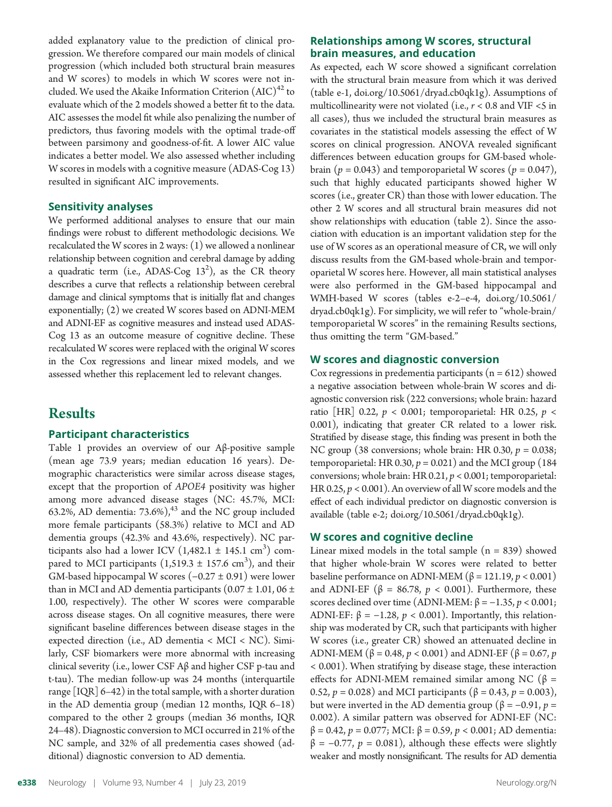added explanatory value to the prediction of clinical progression. We therefore compared our main models of clinical progression (which included both structural brain measures and W scores) to models in which W scores were not included. We used the Akaike Information Criterion  $(AIC)^{42}$  to evaluate which of the 2 models showed a better fit to the data. AIC assesses the model fit while also penalizing the number of predictors, thus favoring models with the optimal trade-off between parsimony and goodness-of-fit. A lower AIC value indicates a better model. We also assessed whether including W scores in models with a cognitive measure (ADAS-Cog 13) resulted in significant AIC improvements.

#### Sensitivity analyses

We performed additional analyses to ensure that our main findings were robust to different methodologic decisions. We recalculated the W scores in 2 ways: (1) we allowed a nonlinear relationship between cognition and cerebral damage by adding a quadratic term (i.e., ADAS-Cog  $13^2$ ), as the CR theory describes a curve that reflects a relationship between cerebral damage and clinical symptoms that is initially flat and changes exponentially; (2) we created W scores based on ADNI-MEM and ADNI-EF as cognitive measures and instead used ADAS-Cog 13 as an outcome measure of cognitive decline. These recalculated W scores were replaced with the original W scores in the Cox regressions and linear mixed models, and we assessed whether this replacement led to relevant changes.

### Results

#### Participant characteristics

Table 1 provides an overview of our Aβ-positive sample (mean age 73.9 years; median education 16 years). Demographic characteristics were similar across disease stages, except that the proportion of APOE4 positivity was higher among more advanced disease stages (NC: 45.7%, MCI: 63.2%, AD dementia:  $73.6\%)$ ,  $^{43}$  and the NC group included more female participants (58.3%) relative to MCI and AD dementia groups (42.3% and 43.6%, respectively). NC participants also had a lower ICV  $(1,482.1 \pm 145.1 \text{ cm}^3)$  compared to MCI participants  $(1,519.3 \pm 157.6 \text{ cm}^3)$ , and their GM-based hippocampal W scores (−0.27 ± 0.91) were lower than in MCI and AD dementia participants (0.07  $\pm$  1.01, 06  $\pm$ 1.00, respectively). The other W scores were comparable across disease stages. On all cognitive measures, there were significant baseline differences between disease stages in the expected direction (i.e., AD dementia < MCI < NC). Similarly, CSF biomarkers were more abnormal with increasing clinical severity (i.e., lower CSF Aβ and higher CSF p-tau and t-tau). The median follow-up was 24 months (interquartile range [IQR] 6–42) in the total sample, with a shorter duration in the AD dementia group (median 12 months, IQR 6–18) compared to the other 2 groups (median 36 months, IQR 24–48). Diagnostic conversion to MCI occurred in 21% of the NC sample, and 32% of all predementia cases showed (additional) diagnostic conversion to AD dementia.

#### Relationships among W scores, structural brain measures, and education

As expected, each W score showed a significant correlation with the structural brain measure from which it was derived (table e-1, [doi.org/10.5061/dryad.cb0qk1g\)](https://doi.org/10.5061/dryad.cb0qk1g). Assumptions of multicollinearity were not violated (i.e.,  $r < 0.8$  and VIF  $<$ 5 in all cases), thus we included the structural brain measures as covariates in the statistical models assessing the effect of W scores on clinical progression. ANOVA revealed significant differences between education groups for GM-based wholebrain ( $p = 0.043$ ) and temporoparietal W scores ( $p = 0.047$ ), such that highly educated participants showed higher W scores (i.e., greater CR) than those with lower education. The other 2 W scores and all structural brain measures did not show relationships with education (table 2). Since the association with education is an important validation step for the use of W scores as an operational measure of CR, we will only discuss results from the GM-based whole-brain and temporoparietal W scores here. However, all main statistical analyses were also performed in the GM-based hippocampal and WMH-based W scores (tables e-2–e-4, [doi.org/10.5061/](https://doi.org/10.5061/dryad.cb0qk1g) [dryad.cb0qk1g\)](https://doi.org/10.5061/dryad.cb0qk1g). For simplicity, we will refer to "whole-brain/ temporoparietal W scores" in the remaining Results sections, thus omitting the term "GM-based."

#### W scores and diagnostic conversion

Cox regressions in predementia participants ( $n = 612$ ) showed a negative association between whole-brain W scores and diagnostic conversion risk (222 conversions; whole brain: hazard ratio [HR] 0.22,  $p < 0.001$ ; temporoparietal: HR 0.25,  $p <$ 0.001), indicating that greater CR related to a lower risk. Stratified by disease stage, this finding was present in both the NC group (38 conversions; whole brain: HR 0.30,  $p = 0.038$ ; temporoparietal: HR 0.30,  $p = 0.021$ ) and the MCI group (184 conversions; whole brain: HR 0.21,  $p < 0.001$ ; temporoparietal: HR 0.25,  $p < 0.001$ ). An overview of all W score models and the effect of each individual predictor on diagnostic conversion is available (table e-2; [doi.org/10.5061/dryad.cb0qk1g](https://doi.org/10.5061/dryad.cb0qk1g)).

#### W scores and cognitive decline

Linear mixed models in the total sample  $(n = 839)$  showed that higher whole-brain W scores were related to better baseline performance on ADNI-MEM ( $β = 121.19, p < 0.001$ ) and ADNI-EF (β = 86.78,  $p$  < 0.001). Furthermore, these scores declined over time (ADNI-MEM:  $\beta$  = -1.35, p < 0.001; ADNI-EF:  $\beta = -1.28$ ,  $p < 0.001$ ). Importantly, this relationship was moderated by CR, such that participants with higher W scores (i.e., greater CR) showed an attenuated decline in ADNI-MEM (β = 0.48,  $p < 0.001$ ) and ADNI-EF (β = 0.67, p < 0.001). When stratifying by disease stage, these interaction effects for ADNI-MEM remained similar among NC (β = 0.52,  $p = 0.028$ ) and MCI participants (β = 0.43,  $p = 0.003$ ), but were inverted in the AD dementia group ( $β = -0.91, p =$ 0.002). A similar pattern was observed for ADNI-EF (NC:  $β = 0.42, p = 0.077; MCI: β = 0.59, p < 0.001; AD$  *d*ementia: $\beta = -0.77$ ,  $p = 0.081$ ), although these effects were slightly weaker and mostly nonsignificant. The results for AD dementia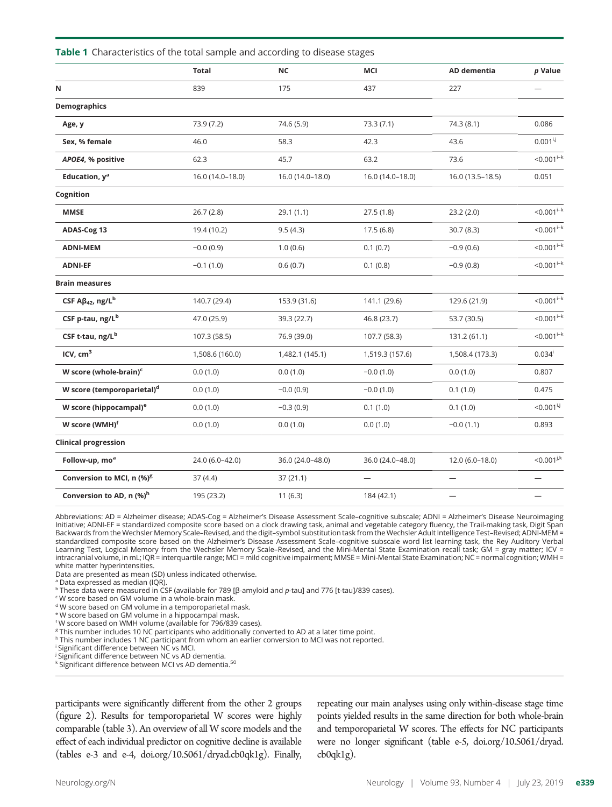|                                                                             | <b>Total</b>     | NC.                  | MCI                     | AD dementia              | p Value                  |
|-----------------------------------------------------------------------------|------------------|----------------------|-------------------------|--------------------------|--------------------------|
| N                                                                           | 839              | 175                  | 437                     | 227                      |                          |
| <b>Demographics</b>                                                         |                  |                      |                         |                          |                          |
| Age, y                                                                      | 73.9 (7.2)       | 74.6 (5.9)           |                         | 74.3 (8.1)               | 0.086                    |
| Sex, % female                                                               | 46.0             | 58.3                 | 42.3                    | 43.6                     | $0.001^{i,j}$            |
| APOE4, % positive                                                           | 62.3             | 45.7                 | 63.2                    | 73.6                     | $< 0.001$ <sup>i-k</sup> |
| Education, y <sup>a</sup>                                                   | 16.0 (14.0-18.0) | 16.0 (14.0-18.0)     | 16.0 (14.0-18.0)        | 16.0 (13.5-18.5)         | 0.051                    |
| Cognition                                                                   |                  |                      |                         |                          |                          |
| <b>MMSE</b>                                                                 | 26.7 (2.8)       | 29.1(1.1)            | 27.5(1.8)               | 23.2(2.0)                | $< 0.001$ <sup>i-k</sup> |
| ADAS-Cog 13                                                                 | 19.4 (10.2)      | 9.5(4.3)             | 17.5(6.8)               | 30.7(8.3)                | $< 0.001$ <sup>i-k</sup> |
| <b>ADNI-MEM</b>                                                             | $-0.0(0.9)$      | 1.0(0.6)<br>0.1(0.7) |                         | $-0.9(0.6)$              | $< 0.001^{i-k}$          |
| <b>ADNI-EF</b>                                                              | $-0.1(1.0)$      | 0.6(0.7)             | 0.1(0.8)                | $-0.9(0.8)$              | $< 0.001$ <sup>i-k</sup> |
| <b>Brain measures</b>                                                       |                  |                      |                         |                          |                          |
| CSF $A\beta_{42}$ , ng/L <sup>b</sup>                                       | 140.7 (29.4)     | 153.9 (31.6)         | 141.1 (29.6)            | 129.6 (21.9)             | $< 0.001$ <sup>i-k</sup> |
| CSF p-tau, ng/L <sup>b</sup>                                                | 47.0 (25.9)      | 39.3 (22.7)          | 46.8 (23.7)             | 53.7 (30.5)              | $< 0.001^{i-k}$          |
| CSF t-tau, ng/L <sup>b</sup>                                                | 107.3 (58.5)     | 76.9 (39.0)          | 107.7 (58.3)            | 131.2 (61.1)             | $< 0.001^{i-k}$          |
| ICV, $cm3$                                                                  | 1,508.6 (160.0)  | 1,482.1 (145.1)      | 1,519.3 (157.6)         | 1,508.4 (173.3)          | $0.034$ <sup>i</sup>     |
| W score (whole-brain) <sup>c</sup>                                          | 0.0(1.0)         | 0.0(1.0)             | $-0.0(1.0)$             | 0.0(1.0)                 | 0.807                    |
| W score (temporoparietal) <sup>d</sup>                                      | 0.0(1.0)         | $-0.0(0.9)$          | $-0.0(1.0)$<br>0.1(1.0) |                          | 0.475                    |
| W score (hippocampal) <sup>e</sup>                                          | 0.0(1.0)         | $-0.3(0.9)$          | 0.1(1.0)<br>0.1(1.0)    |                          | $< 0.001^{i,j}$          |
| W score (WMH) <sup>f</sup>                                                  | 0.0(1.0)         | 0.0(1.0)             | 0.0(1.0)                | $-0.0(1.1)$              | 0.893                    |
| <b>Clinical progression</b>                                                 |                  |                      |                         |                          |                          |
| Follow-up, mo <sup>a</sup>                                                  | 24.0 (6.0-42.0)  | 36.0 (24.0-48.0)     | 36.0 (24.0-48.0)        | 12.0 (6.0-18.0)          | $< 0.001^{j,k}$          |
| Conversion to MCI, n (%) <sup>g</sup>                                       | 37 (4.4)         | 37(21.1)             |                         | $\overline{\phantom{0}}$ |                          |
| Conversion to AD, n (%) <sup>h</sup><br>195 (23.2)<br>184 (42.1)<br>11(6.3) |                  |                      |                         |                          |                          |

Abbreviations: AD = Alzheimer disease; ADAS-Cog = Alzheimer's Disease Assessment Scale–cognitive subscale; ADNI = Alzheimer's Disease Neuroimaging Initiative; ADNI-EF = standardized composite score based on a clock drawing task, animal and vegetable category fluency, the Trail-making task, Digit Span Backwards from the Wechsler Memory Scale–Revised, and the digit–symbol substitution task from the Wechsler Adult Intelligence Test–Revised; ADNI-MEM = standardized composite score based on the Alzheimer's Disease Assessment Scale–cognitive subscale word list learning task, the Rey Auditory Verbal Learning Test, Logical Memory from the Wechsler Memory Scale–Revised, and the Mini-Mental State Examination recall task; GM = gray matter; ICV = intracranial volume, in mL; IQR = interquartile range; MCI = mild cognitive impairment; MMSE = Mini-Mental State Examination; NC = normal cognition; WMH = white matter hyperintensities.

Data are presented as mean (SD) unless indicated otherwise.

<sup>a</sup> Data expressed as median (IQR).

b These data were measured in CSF (available for 789 [β-amyloid and *p*-tau] and 776 [t-tau]/839 cases).<br><sup>c</sup> W score based on GM volume in a whole-brain mask.

<sup>d</sup> W score based on GM volume in a temporoparietal mask.

e W score based on GM volume in a hippocampal mask.

f W score based on WMH volume (available for 796/839 cases).

<sup>8</sup> This number includes 10 NC participants who additionally converted to AD at a later time point.

<sup>h</sup> This number includes 1 NC participant from whom an earlier conversion to MCI was not reported.

i Significant difference between NC vs MCI.

j Significant difference between NC vs AD dementia.

k Significant difference between MCI vs AD dementia.<sup>50</sup>

participants were significantly different from the other 2 groups (figure 2). Results for temporoparietal W scores were highly comparable (table 3). An overview of all W score models and the effect of each individual predictor on cognitive decline is available (tables e-3 and e-4, [doi.org/10.5061/dryad.cb0qk1g](https://doi.org/10.5061/dryad.cb0qk1g)). Finally,

repeating our main analyses using only within-disease stage time points yielded results in the same direction for both whole-brain and temporoparietal W scores. The effects for NC participants were no longer significant (table e-5, [doi.org/10.5061/dryad.](https://doi.org/10.5061/dryad.cb0qk1g) [cb0qk1g](https://doi.org/10.5061/dryad.cb0qk1g)).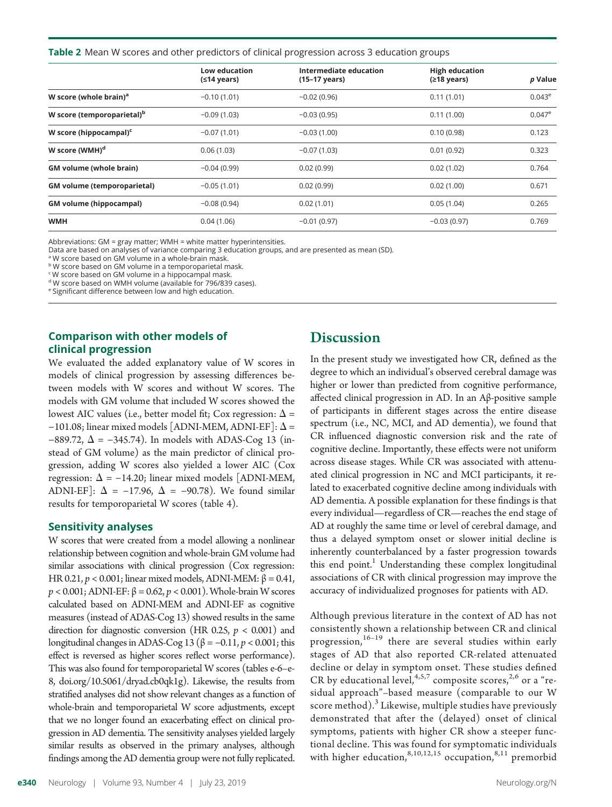#### **Table 2** Mean W scores and other predictors of clinical progression across 3 education groups

|                                        | Low education<br>(≤14 years) | Intermediate education<br>(15-17 years) | <b>High education</b><br>$(≥18 \text{ years})$ | p Value         |
|----------------------------------------|------------------------------|-----------------------------------------|------------------------------------------------|-----------------|
| W score (whole brain) <sup>a</sup>     | $-0.10(1.01)$                | $-0.02(0.96)$                           | 0.11(1.01)                                     | $0.043^e$       |
| W score (temporoparietal) <sup>b</sup> | $-0.09(1.03)$                | $-0.03(0.95)$                           | 0.11(1.00)                                     | $0.047^{\circ}$ |
| W score (hippocampal) $c$              | $-0.07(1.01)$                | $-0.03(1.00)$                           | 0.10(0.98)                                     | 0.123           |
| W score (WMH) <sup>d</sup>             | 0.06(1.03)                   | $-0.07(1.03)$                           | 0.01(0.92)                                     | 0.323           |
| <b>GM</b> volume (whole brain)         | $-0.04(0.99)$                | 0.02(0.99)                              | 0.02(1.02)                                     | 0.764           |
| <b>GM</b> volume (temporoparietal)     | $-0.05(1.01)$                | 0.02(0.99)                              | 0.02(1.00)                                     | 0.671           |
| <b>GM</b> volume (hippocampal)         | $-0.08(0.94)$                | 0.02(1.01)                              | 0.05(1.04)                                     | 0.265           |
| <b>WMH</b>                             | 0.04(1.06)                   | $-0.01(0.97)$                           | $-0.03(0.97)$                                  | 0.769           |
|                                        |                              |                                         |                                                |                 |

Abbreviations: GM = gray matter; WMH = white matter hyperintensities.

Data are based on analyses of variance comparing 3 education groups, and are presented as mean (SD).

<sup>a</sup> W score based on GM volume in a whole-brain mask.

**b W score based on GM volume in a temporoparietal mask.** 

 $\epsilon$  W score based on GM volume in a hippocampal mask.

<sup>d</sup> W score based on WMH volume (available for 796/839 cases).

<sup>e</sup> Significant difference between low and high education.

#### Comparison with other models of clinical progression

We evaluated the added explanatory value of W scores in models of clinical progression by assessing differences between models with W scores and without W scores. The models with GM volume that included W scores showed the lowest AIC values (i.e., better model fit; Cox regression:  $\Delta$  =  $-101.08$ ; linear mixed models [ADNI-MEM, ADNI-EF]:  $\Delta =$  $-889.72$ ,  $\Delta = -345.74$ ). In models with ADAS-Cog 13 (instead of GM volume) as the main predictor of clinical progression, adding W scores also yielded a lower AIC (Cox regression:  $\Delta$  = −14.20; linear mixed models [ADNI-MEM, ADNI-EF]:  $\Delta$  = -17.96,  $\Delta$  = -90.78). We found similar results for temporoparietal W scores (table 4).

#### Sensitivity analyses

W scores that were created from a model allowing a nonlinear relationship between cognition and whole-brain GM volume had similar associations with clinical progression (Cox regression: HR 0.21,  $p < 0.001$ ; linear mixed models, ADNI-MEM:  $\beta = 0.41$ ,  $p < 0.001$ ; ADNI-EF:  $\beta = 0.62$ ,  $p < 0.001$ ). Whole-brain W scores calculated based on ADNI-MEM and ADNI-EF as cognitive measures (instead of ADAS-Cog 13) showed results in the same direction for diagnostic conversion (HR 0.25,  $p < 0.001$ ) and longitudinal changes in ADAS-Cog 13 ( $\beta$  = -0.11,  $p$  < 0.001; this effect is reversed as higher scores reflect worse performance). This was also found for temporoparietal W scores (tables e-6–e-8, [doi.org/10.5061/dryad.cb0qk1g](https://doi.org/10.5061/dryad.cb0qk1g)). Likewise, the results from stratified analyses did not show relevant changes as a function of whole-brain and temporoparietal W score adjustments, except that we no longer found an exacerbating effect on clinical progression in AD dementia. The sensitivity analyses yielded largely similar results as observed in the primary analyses, although findings among the AD dementia group were not fully replicated.

## **Discussion**

In the present study we investigated how CR, defined as the degree to which an individual's observed cerebral damage was higher or lower than predicted from cognitive performance, affected clinical progression in AD. In an Aβ-positive sample of participants in different stages across the entire disease spectrum (i.e., NC, MCI, and AD dementia), we found that CR influenced diagnostic conversion risk and the rate of cognitive decline. Importantly, these effects were not uniform across disease stages. While CR was associated with attenuated clinical progression in NC and MCI participants, it related to exacerbated cognitive decline among individuals with AD dementia. A possible explanation for these findings is that every individual—regardless of CR—reaches the end stage of AD at roughly the same time or level of cerebral damage, and thus a delayed symptom onset or slower initial decline is inherently counterbalanced by a faster progression towards this end point.<sup>1</sup> Understanding these complex longitudinal associations of CR with clinical progression may improve the accuracy of individualized prognoses for patients with AD.

Although previous literature in the context of AD has not consistently shown a relationship between CR and clinical progression, $16-19$  there are several studies within early stages of AD that also reported CR-related attenuated decline or delay in symptom onset. These studies defined CR by educational level,  $4.5.7$  composite scores,  $2.6$  or a "residual approach"–based measure (comparable to our W score method). $3$  Likewise, multiple studies have previously demonstrated that after the (delayed) onset of clinical symptoms, patients with higher CR show a steeper functional decline. This was found for symptomatic individuals with higher education,  $8,10,12,15$  occupation,  $8,11$  premorbid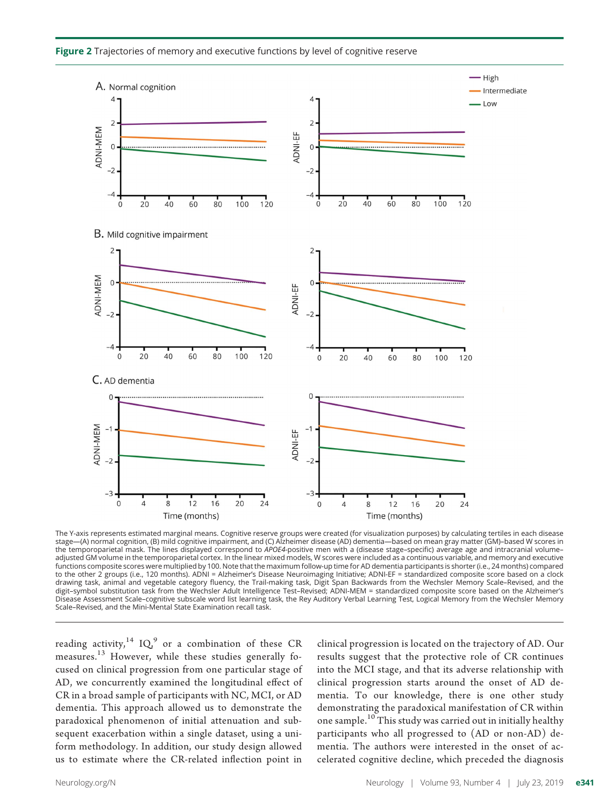



The Y-axis represents estimated marginal means. Cognitive reserve groups were created (for visualization purposes) by calculating tertiles in each disease stage—(A) normal cognition, (B) mild cognitive impairment, and (C) Alzheimer disease (AD) dementia—based on mean gray matter (GM)–based W scores in the temporoparietal mask. The lines displayed correspond to APOE4-positive men with a (disease stage-specific) average age and intracranial volumeadjusted GM volume in the temporoparietal cortex. In the linear mixed models, W scores were included as a continuous variable, and memory and executive functions composite scores were multiplied by 100. Note that the maximum follow-up time for AD dementia participants is shorter (i.e., 24 months) compared to the other 2 groups (i.e., 120 months). ADNI = Alzheimer's Disease Neuroimaging Initiative; ADNI-EF = standardized composite score based on a clock drawing task, animal and vegetable category fluency, the Trail-making task, Digit Span Backwards from the Wechsler Memory Scale–Revised, and the digit–symbol substitution task from the Wechsler Adult Intelligence Test–Revised; ADNI-MEM = standardized composite score based on the Alzheimer's Disease Assessment Scale–cognitive subscale word list learning task, the Rey Auditory Verbal Learning Test, Logical Memory from the Wechsler Memory Scale–Revised, and the Mini-Mental State Examination recall task.

reading activity,<sup>14</sup> IQ<sub>1</sub><sup>9</sup> or a combination of these CR measures.<sup>13</sup> However, while these studies generally focused on clinical progression from one particular stage of AD, we concurrently examined the longitudinal effect of CR in a broad sample of participants with NC, MCI, or AD dementia. This approach allowed us to demonstrate the paradoxical phenomenon of initial attenuation and subsequent exacerbation within a single dataset, using a uniform methodology. In addition, our study design allowed us to estimate where the CR-related inflection point in

clinical progression is located on the trajectory of AD. Our results suggest that the protective role of CR continues into the MCI stage, and that its adverse relationship with clinical progression starts around the onset of AD dementia. To our knowledge, there is one other study demonstrating the paradoxical manifestation of CR within one sample.<sup>10</sup> This study was carried out in initially healthy participants who all progressed to (AD or non-AD) dementia. The authors were interested in the onset of accelerated cognitive decline, which preceded the diagnosis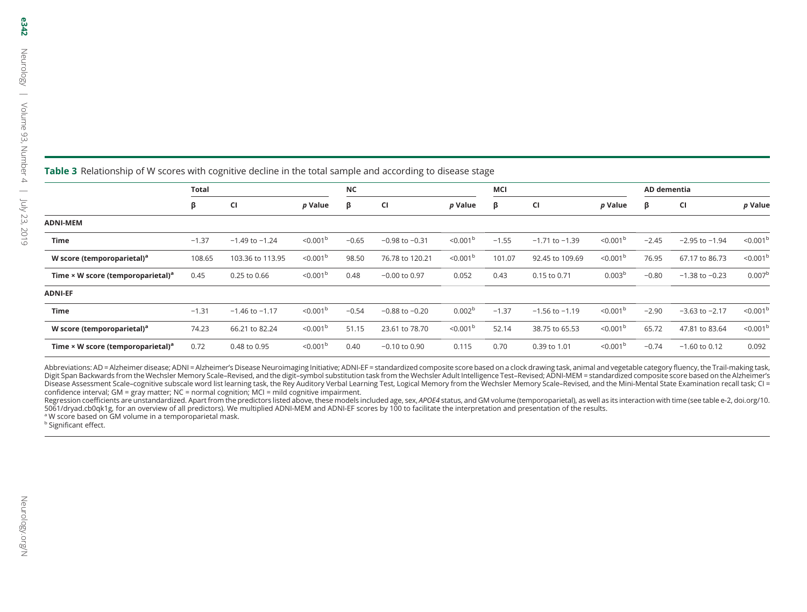|                                                      | <b>Total</b> |                    | <b>NC</b>            | MCI     |                    |                      |         |                    | AD dementia          |         |                    |                      |
|------------------------------------------------------|--------------|--------------------|----------------------|---------|--------------------|----------------------|---------|--------------------|----------------------|---------|--------------------|----------------------|
|                                                      | β            | <b>CI</b>          | p Value              | ß       | <b>CI</b>          | p Value              | β       | <b>CI</b>          | p Value              | ß       | <b>CI</b>          | p Value              |
| ADNI-MEM                                             |              |                    |                      |         |                    |                      |         |                    |                      |         |                    |                      |
| <b>Time</b>                                          | $-1.37$      | $-1.49$ to $-1.24$ | < 0.001 <sup>b</sup> | $-0.65$ | $-0.98$ to $-0.31$ | < 0.001 <sup>b</sup> | $-1.55$ | $-1.71$ to $-1.39$ | < 0.001 <sup>b</sup> | $-2.45$ | $-2.95$ to $-1.94$ | < 0.001 <sup>b</sup> |
| W score (temporoparietal) <sup>a</sup>               | 108.65       | 103.36 to 113.95   | < 0.001 <sup>b</sup> | 98.50   | 76.78 to 120.21    | < 0.001 <sup>b</sup> | 101.07  | 92.45 to 109.69    | < 0.001 <sup>b</sup> | 76.95   | 67.17 to 86.73     | < 0.001 <sup>b</sup> |
| Time $\times$ W score (temporoparietal) <sup>a</sup> | 0.45         | 0.25 to 0.66       | < 0.001 <sup>b</sup> | 0.48    | $-0.00$ to 0.97    | 0.052                | 0.43    | 0.15 to 0.71       | 0.003 <sup>b</sup>   | $-0.80$ | $-1.38$ to $-0.23$ | 0.007 <sup>b</sup>   |
| <b>ADNI-EF</b>                                       |              |                    |                      |         |                    |                      |         |                    |                      |         |                    |                      |
| Time                                                 | $-1.31$      | $-1.46$ to $-1.17$ | $< 0.001^{\circ}$    | $-0.54$ | $-0.88$ to $-0.20$ | 0.002 <sup>b</sup>   | $-1.37$ | $-1.56$ to $-1.19$ | < 0.001 <sup>b</sup> | $-2.90$ | $-3.63$ to $-2.17$ | < 0.001 <sup>b</sup> |
| W score (temporoparietal) <sup>a</sup>               | 74.23        | 66.21 to 82.24     | < 0.001 <sup>b</sup> | 51.15   | 23.61 to 78.70     | $<$ 0.001 $^{\rm b}$ | 52.14   | 38.75 to 65.53     | < 0.001 <sup>b</sup> | 65.72   | 47.81 to 83.64     | < 0.001 <sup>b</sup> |
| Time × W score (temporoparietal) <sup>a</sup>        | 0.72         | 0.48 to 0.95       | < 0.001 <sup>b</sup> | 0.40    | $-0.10$ to $0.90$  | 0.115                | 0.70    | 0.39 to 1.01       | < 0.001 <sup>b</sup> | $-0.74$ | $-1.60$ to 0.12    | 0.092                |

**Table 3** Relationship of W scores with cognitive decline in the total sample and according to disease stage

Abbreviations: AD = Alzheimer disease; ADNI = Alzheimer's Disease Neuroimaging Initiative; ADNI-EF = standardized composite score based on a clock drawing task, animal and vegetable category fluency, the Trail-making task, Digit Span Backwards from the Wechsler Memory Scale–Revised, and the digit–symbol substitution task from the Wechsler Adult Intelligence Test–Revised; ADNI-MEM = standardized composite score based on the Alzheimer's<br>Diseas confidence interval; GM <sup>=</sup> gray matter; NC <sup>=</sup> normal cognition; MCI <sup>=</sup> mild cognitive impairment.

Regression coefficients are unstandardized. Apart from the predictors listed above, these models included age, sex, APOE4 status, and GM volume (temporoparietal), as well as its interaction with time (see table e-2, doi.or [5061/dryad.cb0qk1g,](https://doi.org/10.5061/dryad.cb0qk1g) for an overview of all predictors). We multiplied ADNI-MEM and ADNI-EF scores by 100 to facilitate the interpretation and presentation of the results.

<sup>a</sup> W score based on GM volume in a temporoparietal mask.

**b** Significant effect.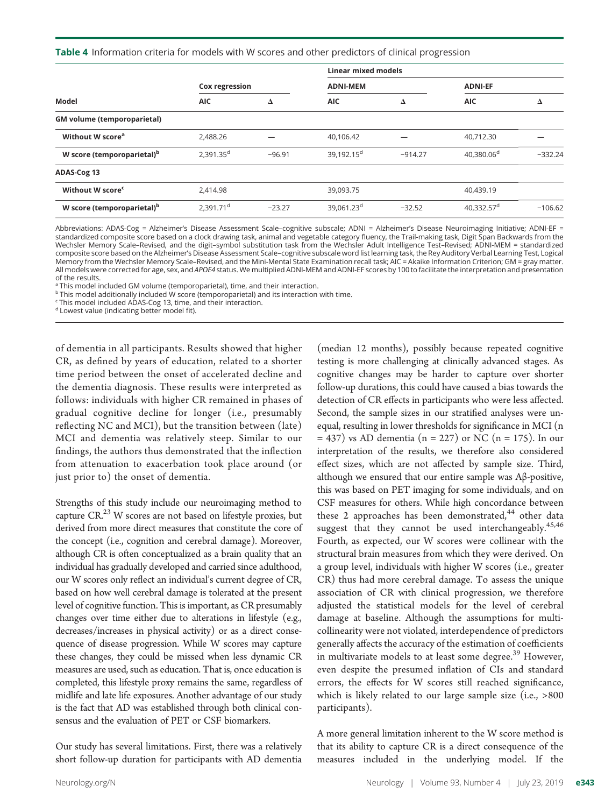#### Table 4 Information criteria for models with W scores and other predictors of clinical progression

|                                        |                         |          | <b>Linear mixed models</b> |           |                        |           |
|----------------------------------------|-------------------------|----------|----------------------------|-----------|------------------------|-----------|
|                                        | Cox regression          |          | <b>ADNI-MEM</b>            |           | <b>ADNI-EF</b>         |           |
| Model                                  | <b>AIC</b>              | Δ        | <b>AIC</b>                 | Δ         | <b>AIC</b>             | Δ         |
| <b>GM</b> volume (temporoparietal)     |                         |          |                            |           |                        |           |
| Without W score <sup>a</sup>           | 2.488.26                |          | 40,106.42                  |           | 40,712.30              |           |
| W score (temporoparietal) <sup>b</sup> | $2,391.35^d$            | $-96.91$ | 39,192.15 <sup>d</sup>     | $-914.27$ | 40,380.06 <sup>d</sup> | $-332.24$ |
| ADAS-Cog 13                            |                         |          |                            |           |                        |           |
| Without W score <sup>c</sup>           | 2,414.98                |          | 39,093.75                  |           | 40.439.19              |           |
| W score (temporoparietal) <sup>b</sup> | $2,391.71$ <sup>d</sup> | $-23.27$ | 39,061.23 <sup>d</sup>     | $-32.52$  | 40,332.57 <sup>d</sup> | $-106.62$ |

Abbreviations: ADAS-Cog = Alzheimer's Disease Assessment Scale–cognitive subscale; ADNI = Alzheimer's Disease Neuroimaging Initiative; ADNI-EF = standardized composite score based on a clock drawing task, animal and vegetable category fluency, the Trail-making task, Digit Span Backwards from the<br>Wechsler Memory Scale–Revised, and the digit–symbol substitution task composite score based on the Alzheimer's Disease Assessment Scale–cognitive subscale word list learning task, the Rey Auditory Verbal Learning Test, Logical Memory from the Wechsler Memory Scale–Revised, and the Mini-Mental State Examination recall task; AIC = Akaike Information Criterion; GM = gray matter. All models were corrected for age, sex, and APOE4 status. We multiplied ADNI-MEM and ADNI-EF scores by 100 to facilitate the interpretation and presentation of the results.

<sup>a</sup> This model included GM volume (temporoparietal), time, and their interaction.<br><sup>b</sup> This model additionally included W score (temporoparietal) and its interaction with time.

<sup>c</sup> This model included ADAS-Cog 13, time, and their interaction.

d Lowest value (indicating better model fit).

of dementia in all participants. Results showed that higher CR, as defined by years of education, related to a shorter time period between the onset of accelerated decline and the dementia diagnosis. These results were interpreted as follows: individuals with higher CR remained in phases of gradual cognitive decline for longer (i.e., presumably reflecting NC and MCI), but the transition between (late) MCI and dementia was relatively steep. Similar to our findings, the authors thus demonstrated that the inflection from attenuation to exacerbation took place around (or just prior to) the onset of dementia.

Strengths of this study include our neuroimaging method to capture CR.<sup>23</sup> W scores are not based on lifestyle proxies, but derived from more direct measures that constitute the core of the concept (i.e., cognition and cerebral damage). Moreover, although CR is often conceptualized as a brain quality that an individual has gradually developed and carried since adulthood, our W scores only reflect an individual's current degree of CR, based on how well cerebral damage is tolerated at the present level of cognitive function. This is important, as CR presumably changes over time either due to alterations in lifestyle (e.g., decreases/increases in physical activity) or as a direct consequence of disease progression. While W scores may capture these changes, they could be missed when less dynamic CR measures are used, such as education. That is, once education is completed, this lifestyle proxy remains the same, regardless of midlife and late life exposures. Another advantage of our study is the fact that AD was established through both clinical consensus and the evaluation of PET or CSF biomarkers.

Our study has several limitations. First, there was a relatively short follow-up duration for participants with AD dementia testing is more challenging at clinically advanced stages. As cognitive changes may be harder to capture over shorter follow-up durations, this could have caused a bias towards the detection of CR effects in participants who were less affected. Second, the sample sizes in our stratified analyses were unequal, resulting in lower thresholds for significance in MCI (n = 437) vs AD dementia (n = 227) or NC (n = 175). In our interpretation of the results, we therefore also considered effect sizes, which are not affected by sample size. Third, although we ensured that our entire sample was Aβ-positive, this was based on PET imaging for some individuals, and on CSF measures for others. While high concordance between these 2 approaches has been demonstrated, $44$  other data suggest that they cannot be used interchangeably. $45,46$ Fourth, as expected, our W scores were collinear with the structural brain measures from which they were derived. On a group level, individuals with higher W scores (i.e., greater CR) thus had more cerebral damage. To assess the unique association of CR with clinical progression, we therefore adjusted the statistical models for the level of cerebral damage at baseline. Although the assumptions for multicollinearity were not violated, interdependence of predictors generally affects the accuracy of the estimation of coefficients in multivariate models to at least some degree.<sup>39</sup> However, even despite the presumed inflation of CIs and standard errors, the effects for W scores still reached significance, which is likely related to our large sample size (i.e., >800 participants).

(median 12 months), possibly because repeated cognitive

A more general limitation inherent to the W score method is that its ability to capture CR is a direct consequence of the measures included in the underlying model. If the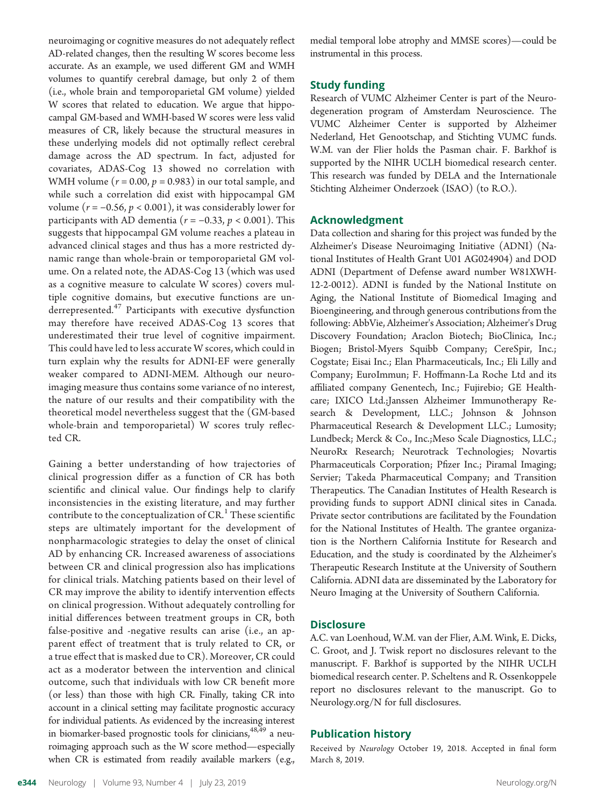neuroimaging or cognitive measures do not adequately reflect AD-related changes, then the resulting W scores become less accurate. As an example, we used different GM and WMH volumes to quantify cerebral damage, but only 2 of them (i.e., whole brain and temporoparietal GM volume) yielded W scores that related to education. We argue that hippocampal GM-based and WMH-based W scores were less valid measures of CR, likely because the structural measures in these underlying models did not optimally reflect cerebral damage across the AD spectrum. In fact, adjusted for covariates, ADAS-Cog 13 showed no correlation with WMH volume ( $r = 0.00$ ,  $p = 0.983$ ) in our total sample, and while such a correlation did exist with hippocampal GM volume ( $r = −0.56$ ,  $p < 0.001$ ), it was considerably lower for participants with AD dementia ( $r = -0.33$ ,  $p < 0.001$ ). This suggests that hippocampal GM volume reaches a plateau in advanced clinical stages and thus has a more restricted dynamic range than whole-brain or temporoparietal GM volume. On a related note, the ADAS-Cog 13 (which was used as a cognitive measure to calculate W scores) covers multiple cognitive domains, but executive functions are underrepresented.<sup>47</sup> Participants with executive dysfunction may therefore have received ADAS-Cog 13 scores that underestimated their true level of cognitive impairment. This could have led to less accurate W scores, which could in turn explain why the results for ADNI-EF were generally weaker compared to ADNI-MEM. Although our neuroimaging measure thus contains some variance of no interest, the nature of our results and their compatibility with the theoretical model nevertheless suggest that the (GM-based whole-brain and temporoparietal) W scores truly reflected CR.

Gaining a better understanding of how trajectories of clinical progression differ as a function of CR has both scientific and clinical value. Our findings help to clarify inconsistencies in the existing literature, and may further contribute to the conceptualization of  $CR<sup>1</sup>$  These scientific steps are ultimately important for the development of nonpharmacologic strategies to delay the onset of clinical AD by enhancing CR. Increased awareness of associations between CR and clinical progression also has implications for clinical trials. Matching patients based on their level of CR may improve the ability to identify intervention effects on clinical progression. Without adequately controlling for initial differences between treatment groups in CR, both false-positive and -negative results can arise (i.e., an apparent effect of treatment that is truly related to CR, or a true effect that is masked due to CR). Moreover, CR could act as a moderator between the intervention and clinical outcome, such that individuals with low CR benefit more (or less) than those with high CR. Finally, taking CR into account in a clinical setting may facilitate prognostic accuracy for individual patients. As evidenced by the increasing interest in biomarker-based prognostic tools for clinicians,<sup>48,49</sup> a neuroimaging approach such as the W score method—especially when CR is estimated from readily available markers (e.g.,

medial temporal lobe atrophy and MMSE scores)—could be instrumental in this process.

#### Study funding

Research of VUMC Alzheimer Center is part of the Neurodegeneration program of Amsterdam Neuroscience. The VUMC Alzheimer Center is supported by Alzheimer Nederland, Het Genootschap, and Stichting VUMC funds. W.M. van der Flier holds the Pasman chair. F. Barkhof is supported by the NIHR UCLH biomedical research center. This research was funded by DELA and the Internationale Stichting Alzheimer Onderzoek (ISAO) (to R.O.).

#### Acknowledgment

Data collection and sharing for this project was funded by the Alzheimer's Disease Neuroimaging Initiative (ADNI) (National Institutes of Health Grant U01 AG024904) and DOD ADNI (Department of Defense award number W81XWH-12-2-0012). ADNI is funded by the National Institute on Aging, the National Institute of Biomedical Imaging and Bioengineering, and through generous contributions from the following: AbbVie, Alzheimer's Association; Alzheimer's Drug Discovery Foundation; Araclon Biotech; BioClinica, Inc.; Biogen; Bristol-Myers Squibb Company; CereSpir, Inc.; Cogstate; Eisai Inc.; Elan Pharmaceuticals, Inc.; Eli Lilly and Company; EuroImmun; F. Hoffmann-La Roche Ltd and its affiliated company Genentech, Inc.; Fujirebio; GE Healthcare; IXICO Ltd.;Janssen Alzheimer Immunotherapy Research & Development, LLC.; Johnson & Johnson Pharmaceutical Research & Development LLC.; Lumosity; Lundbeck; Merck & Co., Inc.;Meso Scale Diagnostics, LLC.; NeuroRx Research; Neurotrack Technologies; Novartis Pharmaceuticals Corporation; Pfizer Inc.; Piramal Imaging; Servier; Takeda Pharmaceutical Company; and Transition Therapeutics. The Canadian Institutes of Health Research is providing funds to support ADNI clinical sites in Canada. Private sector contributions are facilitated by the Foundation for the National Institutes of Health. The grantee organization is the Northern California Institute for Research and Education, and the study is coordinated by the Alzheimer's Therapeutic Research Institute at the University of Southern California. ADNI data are disseminated by the Laboratory for Neuro Imaging at the University of Southern California.

#### **Disclosure**

A.C. van Loenhoud, W.M. van der Flier, A.M. Wink, E. Dicks, C. Groot, and J. Twisk report no disclosures relevant to the manuscript. F. Barkhof is supported by the NIHR UCLH biomedical research center. P. Scheltens and R. Ossenkoppele report no disclosures relevant to the manuscript. Go to [Neurology.org/N](https://n.neurology.org/lookup/doi/10.1212/WNL.0000000000007821) for full disclosures.

#### Publication history

Received by Neurology October 19, 2018. Accepted in final form March 8, 2019.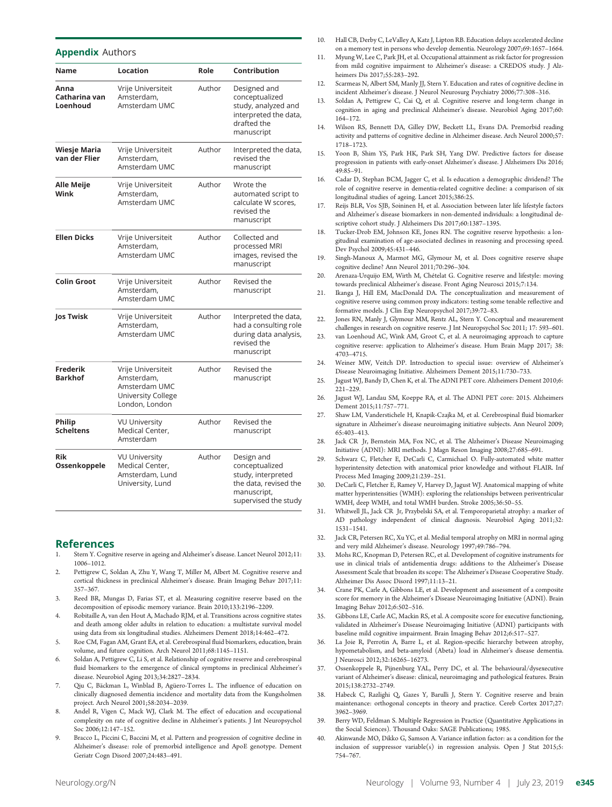| $\bf{F}$                                                                                              |                                                                                           |        |                                                                                                                    |  |  |  |
|-------------------------------------------------------------------------------------------------------|-------------------------------------------------------------------------------------------|--------|--------------------------------------------------------------------------------------------------------------------|--|--|--|
| Name                                                                                                  | Location                                                                                  | Role   | Contribution                                                                                                       |  |  |  |
| Anna<br>Catharina van<br>Loenhoud                                                                     | Vrije Universiteit<br>Amsterdam,<br>Amsterdam UMC                                         | Author | Designed and<br>conceptualized<br>study, analyzed and<br>interpreted the data,<br>drafted the<br>manuscript        |  |  |  |
| Wiesje Maria<br>van der Flier                                                                         | Vrije Universiteit<br>Amsterdam,<br>Amsterdam UMC                                         | Author | Interpreted the data,<br>revised the<br>manuscript                                                                 |  |  |  |
| Alle Meije<br>Wink                                                                                    | Author<br>Vrije Universiteit<br>Amsterdam,<br>Amsterdam UMC                               |        | Wrote the<br>automated script to<br>calculate W scores,<br>revised the<br>manuscript                               |  |  |  |
| <b>Ellen Dicks</b>                                                                                    | Vrije Universiteit<br>Amsterdam,<br>Amsterdam UMC                                         | Author | Collected and<br>processed MRI<br>images, revised the<br>manuscript                                                |  |  |  |
| <b>Colin Groot</b>                                                                                    | Vrije Universiteit<br>Amsterdam,<br>Amsterdam UMC                                         | Author | Revised the<br>manuscript                                                                                          |  |  |  |
| Jos Twisk                                                                                             | Vrije Universiteit<br>Amsterdam,<br>Amsterdam UMC                                         | Author | Interpreted the data,<br>had a consulting role<br>during data analysis,<br>revised the<br>manuscript               |  |  |  |
| <b>Frederik</b><br><b>Barkhof</b>                                                                     | Vrije Universiteit<br>Amsterdam.<br>Amsterdam UMC<br>University College<br>London, London | Author | Revised the<br>manuscript                                                                                          |  |  |  |
| Philip<br>Scheltens                                                                                   | <b>VU University</b><br>Medical Center,<br>Amsterdam                                      | Author | Revised the<br>manuscript                                                                                          |  |  |  |
| Rik<br><b>VU University</b><br>Ossenkoppele<br>Medical Center,<br>Amsterdam, Lund<br>University, Lund |                                                                                           | Author | Design and<br>conceptualized<br>study, interpreted<br>the data, revised the<br>manuscript,<br>supervised the study |  |  |  |

#### References

Annendix Authors

- 1. Stern Y. Cognitive reserve in ageing and Alzheimer's disease. Lancet Neurol 2012;11: 1006–1012.
- 2. Pettigrew C, Soldan A, Zhu Y, Wang T, Miller M, Albert M. Cognitive reserve and cortical thickness in preclinical Alzheimer's disease. Brain Imaging Behav 2017;11: 357–367.
- 3. Reed BR, Mungas D, Farias ST, et al. Measuring cognitive reserve based on the decomposition of episodic memory variance. Brain 2010;133:2196–2209.
- 4. Robitaille A, van den Hout A, Machado RJM, et al. Transitions across cognitive states and death among older adults in relation to education: a multistate survival model using data from six longitudinal studies. Alzheimers Dement 2018;14:462–472.
- 5. Roe CM, Fagan AM, Grant EA, et al. Cerebrospinal fluid biomarkers, education, brain volume, and future cognition. Arch Neurol 2011;68:1145–1151.
- 6. Soldan A, Pettigrew C, Li S, et al. Relationship of cognitive reserve and cerebrospinal fluid biomarkers to the emergence of clinical symptoms in preclinical Alzheimer's disease. Neurobiol Aging 2013;34:2827–2834.
- Qiu C, Bäckman L, Winblad B, Agüero-Torres L. The influence of education on clinically diagnosed dementia incidence and mortality data from the Kungsholmen project. Arch Neurol 2001;58:2034–2039.
- 8. Andel R, Vigen C, Mack WJ, Clark M. The effect of education and occupational complexity on rate of cognitive decline in Alzheimer's patients. J Int Neuropsychol Soc 2006;12:147–152.
- 9. Bracco L, Piccini C, Baccini M, et al. Pattern and progression of cognitive decline in Alzheimer's disease: role of premorbid intelligence and ApoE genotype. Dement Geriatr Cogn Disord 2007;24:483–491.
- 10. Hall CB, Derby C, LeValley A, Katz J, Lipton RB. Education delays accelerated decline on a memory test in persons who develop dementia. Neurology 2007;69:1657–1664.
- 11. Myung W, Lee C, Park JH, et al. Occupational attainment as risk factor for progression from mild cognitive impairment to Alzheimer's disease: a CREDOS study. J Alzheimers Dis 2017;55:283–292.
- 12. Scarmeas N, Albert SM, Manly JJ, Stern Y. Education and rates of cognitive decline in incident Alzheimer's disease. J Neurol Neurosurg Psychiatry 2006;77:308–316.
- 13. Soldan A, Pettigrew C, Cai Q, et al. Cognitive reserve and long-term change in cognition in aging and preclinical Alzheimer's disease. Neurobiol Aging 2017;60: 164–172.
- 14. Wilson RS, Bennett DA, Gilley DW, Beckett LL, Evans DA. Premorbid reading activity and patterns of cognitive decline in Alzheimer disease. Arch Neurol 2000;57: 1718–1723.
- Yoon B, Shim YS, Park HK, Park SH, Yang DW. Predictive factors for disease progression in patients with early-onset Alzheimer's disease. J Alzheimers Dis 2016; 49:85–91.
- 16. Cadar D, Stephan BCM, Jagger C, et al. Is education a demographic dividend? The role of cognitive reserve in dementia-related cognitive decline: a comparison of six longitudinal studies of ageing. Lancet 2015;386:25.
- 17. Reijs BLR, Vos SJB, Soininen H, et al. Association between later life lifestyle factors and Alzheimer's disease biomarkers in non-demented individuals: a longitudinal descriptive cohort study. J Alzheimers Dis 2017;60:1387–1395.
- 18. Tucker-Drob EM, Johnson KE, Jones RN. The cognitive reserve hypothesis: a longitudinal examination of age-associated declines in reasoning and processing speed. Dev Psychol 2009;45:431–446.
- 19. Singh-Manoux A, Marmot MG, Glymour M, et al. Does cognitive reserve shape cognitive decline? Ann Neurol 2011;70:296–304.
- 20. Arenaza-Urquijo EM, Wirth M, Chételat G. Cognitive reserve and lifestyle: moving towards preclinical Alzheimer's disease. Front Aging Neurosci 2015;7:134.
- 21. Ikanga J, Hill EM, MacDonald DA. The conceptualization and measurement of cognitive reserve using common proxy indicators: testing some tenable reflective and formative models. J Clin Exp Neuropsychol 2017;39:72–83.
- 22. Jones RN, Manly J, Glymour MM, Rentz AL, Stern Y. Conceptual and measurement challenges in research on cognitive reserve. J Int Neuropsychol Soc 2011; 17: 593–601.
- 23. van Loenhoud AC, Wink AM, Groot C, et al. A neuroimaging approach to capture cognitive reserve: application to Alzheimer's disease. Hum Brain Mapp 2017; 38: 4703–4715.
- 24. Weiner MW, Veitch DP. Introduction to special issue: overview of Alzheimer's Disease Neuroimaging Initiative. Alzheimers Dement 2015;11:730–733.
- 25. Jagust WJ, Bandy D, Chen K, et al. The ADNI PET core. Alzheimers Dement 2010;6: 221–229.
- 26. Jagust WJ, Landau SM, Koeppe RA, et al. The ADNI PET core: 2015. Alzheimers Dement 2015;11:757–771.
- 27. Shaw LM, Vanderstichele H, Knapik-Czajka M, et al. Cerebrospinal fluid biomarker signature in Alzheimer's disease neuroimaging initiative subjects. Ann Neurol 2009; 65:403–413.
- 28. Jack CR Jr, Bernstein MA, Fox NC, et al. The Alzheimer's Disease Neuroimaging Initiative (ADNI): MRI methods. J Magn Reson Imaging 2008;27:685–691.
- 29. Schwarz C, Fletcher E, DeCarli C, Carmichael O. Fully-automated white matter hyperintensity detection with anatomical prior knowledge and without FLAIR. Inf Process Med Imaging 2009;21:239–251.
- 30. DeCarli C, Fletcher E, Ramey V, Harvey D, Jagust WJ. Anatomical mapping of white matter hyperintensities (WMH): exploring the relationships between periventricular WMH, deep WMH, and total WMH burden. Stroke 2005;36:50–55.
- 31. Whitwell JL, Jack CR Jr, Przybelski SA, et al. Temporoparietal atrophy: a marker of AD pathology independent of clinical diagnosis. Neurobiol Aging 2011;32: 1531–1541.
- 32. Jack CR, Petersen RC, Xu YC, et al. Medial temporal atrophy on MRI in normal aging and very mild Alzheimer's disease. Neurology 1997;49:786–794.
- 33. Mohs RC, Knopman D, Petersen RC, et al. Development of cognitive instruments for use in clinical trials of antidementia drugs: additions to the Alzheimer's Disease Assessment Scale that broaden its scope: The Alzheimer's Disease Cooperative Study. Alzheimer Dis Assoc Disord 1997;11:13–21.
- 34. Crane PK, Carle A, Gibbons LE, et al. Development and assessment of a composite score for memory in the Alzheimer's Disease Neuroimaging Initiative (ADNI). Brain Imaging Behav 2012;6:502–516.
- 35. Gibbons LE, Carle AC, Mackin RS, et al. A composite score for executive functioning, validated in Alzheimer's Disease Neuroimaging Initiative (ADNI) participants with baseline mild cognitive impairment. Brain Imaging Behav 2012;6:517–527.
- La Joie R, Perrotin A, Barre L, et al. Region-specific hierarchy between atrophy, hypometabolism, and beta-amyloid (Abeta) load in Alzheimer's disease dementia. J Neurosci 2012;32:16265–16273.
- 37. Ossenkoppele R, Pijnenburg YAL, Perry DC, et al. The behavioural/dysexecutive variant of Alzheimer's disease: clinical, neuroimaging and pathological features. Brain 2015;138:2732–2749.
- 38. Habeck C, Razlighi Q, Gazes Y, Barulli J, Stern Y. Cognitive reserve and brain maintenance: orthogonal concepts in theory and practice. Cereb Cortex 2017;27: 3962–3969.
- 39. Berry WD, Feldman S. Multiple Regression in Practice (Quantitative Applications in the Social Sciences). Thousand Oaks: SAGE Publications; 1985.
- 40. Akinwande MO, Dikko G, Samson A. Variance inflation factor: as a condition for the inclusion of suppressor variable(s) in regression analysis. Open J Stat 2015;5: 754–767.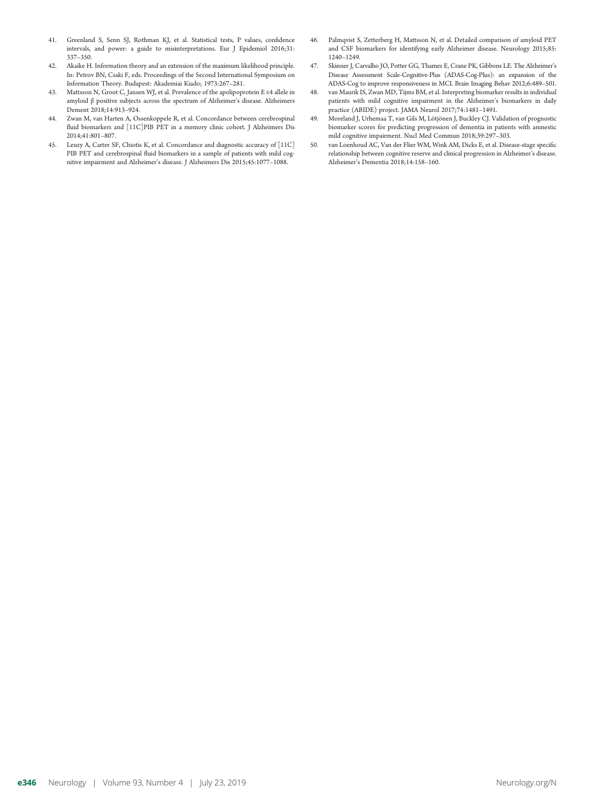- 41. Greenland S, Senn SJ, Rothman KJ, et al. Statistical tests, P values, confidence intervals, and power: a guide to misinterpretations. Eur J Epidemiol 2016;31: 337–350.
- 42. Akaike H. Information theory and an extension of the maximum likelihood principle. In: Petrov BN, Csaki F, eds. Proceedings of the Second International Symposium on Information Theory. Budapest: Akademiai Kiado; 1973:267–281.
- 43. Mattsson N, Groot C, Jansen WJ, et al. Prevalence of the apolipoprotein E e4 allele in amyloid β positive subjects across the spectrum of Alzheimer's disease. Alzheimers Dement 2018;14:913–924.
- 44. Zwan M, van Harten A, Ossenkoppele R, et al. Concordance between cerebrospinal fluid biomarkers and [11C]PIB PET in a memory clinic cohort. J Alzheimers Dis 2014;41:801–807.
- 45. Leuzy A, Carter SF, Chiotis K, et al. Concordance and diagnostic accuracy of [11C] PIB PET and cerebrospinal fluid biomarkers in a sample of patients with mild cognitive impairment and Alzheimer's disease. J Alzheimers Dis 2015;45:1077–1088.
- 46. Palmqvist S, Zetterberg H, Mattsson N, et al. Detailed comparison of amyloid PET and CSF biomarkers for identifying early Alzheimer disease. Neurology 2015;85: 1240–1249.
- 47. Skinner J, Carvalho JO, Potter GG, Thames E, Crane PK, Gibbons LE. The Alzheimer's Disease Assessment Scale-Cognitive-Plus (ADAS-Cog-Plus): an expansion of the ADAS-Cog to improve responsiveness in MCI. Brain Imaging Behav 2012;6:489–501.
- 48. van Maurik IS, Zwan MD, Tijms BM, et al. Interpreting biomarker results in individual patients with mild cognitive impairment in the Alzheimer's biomarkers in daily practice (ABIDE) project. JAMA Neurol 2017;74:1481–1491.
- 49. Moreland J, Urhemaa T, van Gils M, Lötjönen J, Buckley CJ. Validation of prognostic biomarker scores for predicting progression of dementia in patients with amnestic mild cognitive impairment. Nucl Med Commun 2018;39:297–303.
- 50. van Loenhoud AC, Van der Flier WM, Wink AM, Dicks E, et al. Disease-stage specific relationship between cognitive reserve and clinical progression in Alzheimer's disease. Alzheimer's Dementia 2018;14:158–160.